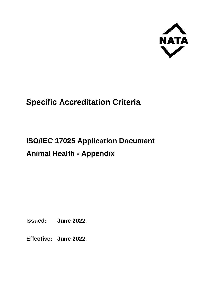

# **Specific Accreditation Criteria**

# **ISO/IEC 17025 Application Document Animal Health - Appendix**

**Issued: June 2022**

**Effective: June 2022**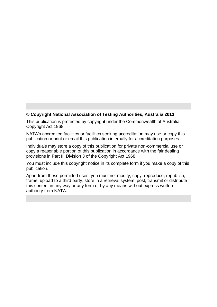#### **© Copyright National Association of Testing Authorities, Australia 2013**

This publication is protected by copyright under the Commonwealth of Australia Copyright Act 1968.

NATA's accredited facilities or facilities seeking accreditation may use or copy this publication or print or email this publication internally for accreditation purposes.

Individuals may store a copy of this publication for private non-commercial use or copy a reasonable portion of this publication in accordance with the fair dealing provisions in Part III Division 3 of the Copyright Act 1968.

You must include this copyright notice in its complete form if you make a copy of this publication.

Apart from these permitted uses, you must not modify, copy, reproduce, republish, frame, upload to a third party, store in a retrieval system, post, transmit or distribute this content in any way or any form or by any means without express written authority from NATA.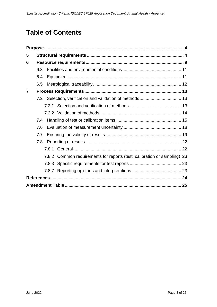# **Table of Contents**

| 5              |     |                                                                          |    |
|----------------|-----|--------------------------------------------------------------------------|----|
| 6              |     |                                                                          |    |
|                | 6.3 |                                                                          |    |
|                | 6.4 |                                                                          |    |
|                | 6.5 |                                                                          |    |
| $\overline{7}$ |     |                                                                          |    |
|                |     |                                                                          |    |
|                |     |                                                                          |    |
|                |     |                                                                          |    |
|                | 7.4 |                                                                          |    |
|                | 7.6 |                                                                          |    |
|                | 7.7 |                                                                          |    |
|                | 7.8 |                                                                          |    |
|                |     |                                                                          |    |
|                |     | 7.8.2 Common requirements for reports (test, calibration or sampling) 23 |    |
|                |     |                                                                          |    |
|                |     |                                                                          |    |
|                |     |                                                                          |    |
|                |     |                                                                          | 25 |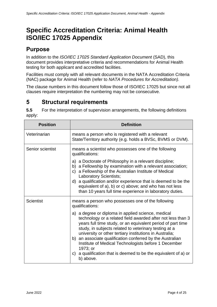# **Specific Accreditation Criteria: Animal Health ISO/IEC 17025 Appendix**

# <span id="page-3-0"></span>**Purpose**

In addition to the *ISO/IEC 17025 Standard Application Document* (SAD), this document provides interpretative criteria and recommendations for Animal Health testing for both applicant and accredited facilities.

Facilities must comply with all relevant documents in the NATA Accreditation Criteria (NAC) package for Animal Health (refer to *NATA Procedures for Accreditation).*

The clause numbers in this document follow those of ISO/IEC 17025 but since not all clauses require interpretation the numbering may not be consecutive.

# <span id="page-3-1"></span>**5 Structural requirements**

**5.5** For the interpretation of supervision arrangements, the following definitions apply:

| <b>Position</b>  | <b>Definition</b>                                                                                                                                                                                                                                                                                                                                                                                                                                                                                                                                                                                          |
|------------------|------------------------------------------------------------------------------------------------------------------------------------------------------------------------------------------------------------------------------------------------------------------------------------------------------------------------------------------------------------------------------------------------------------------------------------------------------------------------------------------------------------------------------------------------------------------------------------------------------------|
| Veterinarian     | means a person who is registered with a relevant<br>State/Territory authority (e.g. holds a BVSc, BVMS or DVM).                                                                                                                                                                                                                                                                                                                                                                                                                                                                                            |
| Senior scientist | means a scientist who possesses one of the following<br>qualifications:<br>a) a Doctorate of Philosophy in a relevant discipline;<br>a Fellowship by examination with a relevant association;<br>b)<br>a Fellowship of the Australian Institute of Medical<br>C)<br><b>Laboratory Scientists;</b><br>d) a qualification and/or experience that is deemed to be the<br>equivalent of a), b) or c) above; and who has not less<br>than 10 years full time experience in laboratory duties.                                                                                                                   |
| <b>Scientist</b> | means a person who possesses one of the following<br>qualifications:<br>a) a degree or diploma in applied science, medical<br>technology or a related field awarded after not less than 3<br>years full time study, or an equivalent period of part time<br>study, in subjects related to veterinary testing at a<br>university or other tertiary institutions in Australia;<br>b) an associate qualification conferred by the Australian<br>Institute of Medical Technologists before 1 December<br>1973; or<br>a qualification that is deemed to be the equivalent of a) or<br>$\mathsf{C}$<br>b) above. |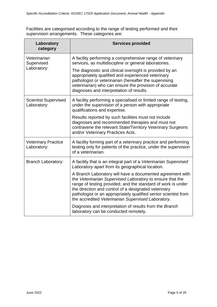Facilities are categorised according to the range of testing performed and their supervision arrangements. These categories are:

| Laboratory<br>category                     | <b>Services provided</b>                                                                                                                                                                                                                                                                                                                                                |
|--------------------------------------------|-------------------------------------------------------------------------------------------------------------------------------------------------------------------------------------------------------------------------------------------------------------------------------------------------------------------------------------------------------------------------|
| Veterinarian<br>Supervised                 | A facility performing a comprehensive range of veterinary<br>services, as multidiscipline or general laboratories.                                                                                                                                                                                                                                                      |
| Laboratory:                                | The diagnostic and clinical oversight is provided by an<br>appropriately qualified and experienced veterinary<br>pathologist or veterinarian (hereafter the supervising<br>veterinarian) who can ensure the provision of accurate<br>diagnoses and interpretation of results.                                                                                           |
| <b>Scientist Supervised</b><br>Laboratory: | A facility performing a specialised or limited range of testing,<br>under the supervision of a person with appropriate<br>qualifications and expertise.                                                                                                                                                                                                                 |
|                                            | Results reported by such facilities must not include<br>diagnoses and recommended therapies and must not<br>contravene the relevant State/Territory Veterinary Surgeons<br>and/or Veterinary Practices Acts.                                                                                                                                                            |
| <b>Veterinary Practice</b><br>Laboratory:  | A facility forming part of a veterinary practice and performing<br>testing only for patients of the practice, under the supervision<br>of a veterinarian.                                                                                                                                                                                                               |
| <b>Branch Laboratory:</b>                  | A facility that is an integral part of a Veterinarian Supervised<br>Laboratory apart from its geographical location.                                                                                                                                                                                                                                                    |
|                                            | A Branch Laboratory will have a documented agreement with<br>the Veterinarian Supervised Laboratory to ensure that the<br>range of testing provided, and the standard of work is under<br>the direction and control of a designated veterinary<br>pathologist or an appropriately qualified senior scientist from<br>the accredited Veterinarian Supervised Laboratory. |
|                                            | Diagnosis and interpretation of results from the Branch<br>laboratory can be conducted remotely.                                                                                                                                                                                                                                                                        |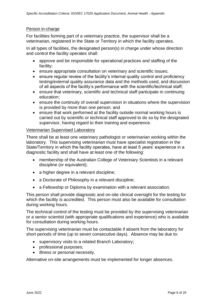#### Person in-charge

For facilities forming part of a veterinary practice, the supervisor shall be a veterinarian, registered in the State or Territory in which the facility operates.

In all types of facilities, the designated person(s) in charge under whose direction and control the facility operates shall:

- approve and be responsible for operational practices and staffing of the facility;
- ensure appropriate consultation on veterinary and scientific issues;
- ensure regular review of the facility's internal quality control and proficiency testing/external quality assurance data and the methods used, and discussion of all aspects of the facility's performance with the scientific/technical staff;
- ensure that veterinary, scientific and technical staff participate in continuing education;
- ensure the continuity of overall supervision in situations where the supervision is provided by more than one person; and
- ensure that work performed at the facility outside normal working hours is carried out by scientific or technical staff approved to do so by the designated supervisor, having regard to their training and experience.

#### Veterinarian Supervised Laboratory

There shall be at least one veterinary pathologist or veterinarian working within the laboratory. This supervising veterinarian must have specialist registration in the State/Territory in which the facility operates, have at least 5 years' experience in a diagnostic facility and shall have at least one of the following:

- membership of the Australian College of Veterinary Scientists in a relevant discipline (or equivalent);
- a higher degree in a relevant discipline;
- a Doctorate of Philosophy in a relevant discipline;
- a Fellowship or Diploma by examination with a relevant association.

This person shall provide diagnostic and on-site clinical oversight for the testing for which the facility is accredited. This person must also be available for consultation during working hours.

The technical control of the testing must be provided by the supervising veterinarian or a senior scientist (with appropriate qualifications and experience) who is available for consultation during working hours.

The supervising veterinarian must be contactable if absent from the laboratory for short periods of time (up to seven consecutive days). Absence may be due to:

- supervisory visits to a related Branch Laboratory;
- professional purposes;
- illness or personal necessity.

Alternative on-site arrangements must be implemented for longer absences.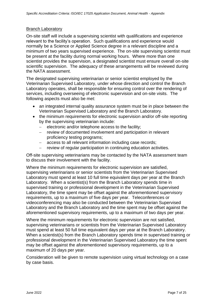#### Branch Laboratory

On-site staff will include a supervising scientist with qualifications and experience relevant to the facility's operation. Such qualifications and experience would normally be a Science or Applied Science degree in a relevant discipline and a minimum of two years supervised experience. The on-site supervising scientist must be present at the facility during normal working hours. Where more than one scientist provides the supervision, a designated scientist must ensure overall on-site scientific supervision. The adequacy of these arrangements will be reviewed during the NATA assessment.

The designated supervising veterinarian or senior scientist employed by the Veterinarian Supervised Laboratory, under whose direction and control the Branch Laboratory operates, shall be responsible for ensuring control over the rendering of services, including overseeing of electronic supervision and on-site visits. The following aspects must also be met:

- an integrated internal quality assurance system must be in place between the Veterinarian Supervised Laboratory and the Branch Laboratory.
- the minimum requirements for electronic supervision and/or off-site reporting by the supervising veterinarian include:
	- electronic and/or telephone access to the facility;
	- − review of documented involvement and participation in relevant proficiency testing programs;
	- access to all relevant information including case records;
	- − review of regular participation in continuing education activities.

Off-site supervising veterinarians may be contacted by the NATA assessment team to discuss their involvement with the facility.

Where the minimum requirements for electronic supervision are satisfied, supervising veterinarians or senior scientists from the Veterinarian Supervised Laboratory must spend at least 10 full time equivalent days per year at the Branch Laboratory. When a scientist(s) from the Branch Laboratory spends time in supervised training or professional development in the Veterinarian Supervised Laboratory, the time spent may be offset against the aforementioned supervisory requirements, up to a maximum of five days per year. Teleconferences or videoconferencing may also be conducted between the Veterinarian Supervised Laboratory and the Branch Laboratory and the time spent may be offset against the aforementioned supervisory requirements, up to a maximum of two days per year.

Where the minimum requirements for electronic supervision are not satisfied, supervising veterinarians or scientists from the Veterinarian Supervised Laboratory must spend at least 50 full time equivalent days per year at the Branch Laboratory. When a scientist(s) from the Branch Laboratory spends time in supervised training or professional development in the Veterinarian Supervised Laboratory the time spent may be offset against the aforementioned supervisory requirements, up to a maximum of 20 days per year.

Consideration will be given to remote supervision using virtual technology on a case by case basis.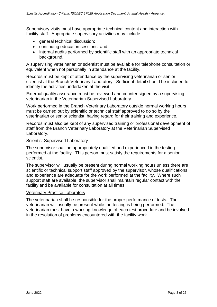Supervisory visits must have appropriate technical content and interaction with facility staff. Appropriate supervisory activities may include:

- general technical discussion;
- continuing education sessions; and
- internal audits performed by scientific staff with an appropriate technical background.

A supervising veterinarian or scientist must be available for telephone consultation or equivalent when not personally in attendance at the facility.

Records must be kept of attendance by the supervising veterinarian or senior scientist at the Branch Veterinary Laboratory. Sufficient detail should be included to identify the activities undertaken at the visit.

External quality assurance must be reviewed and counter signed by a supervising veterinarian in the Veterinarian Supervised Laboratory.

Work performed in the Branch Veterinary Laboratory outside normal working hours must be carried out by scientific or technical staff approved to do so by the veterinarian or senior scientist, having regard for their training and experience.

Records must also be kept of any supervised training or professional development of staff from the Branch Veterinary Laboratory at the Veterinarian Supervised Laboratory.

#### Scientist Supervised Laboratory

The supervisor shall be appropriately qualified and experienced in the testing performed at the facility. This person must satisfy the requirements for a senior scientist.

The supervisor will usually be present during normal working hours unless there are scientific or technical support staff approved by the supervisor, whose qualifications and experience are adequate for the work performed at the facility. Where such support staff are available, the supervisor shall maintain regular contact with the facility and be available for consultation at all times.

#### Veterinary Practice Laboratory

The veterinarian shall be responsible for the proper performance of tests. The veterinarian will usually be present while the testing is being performed. The veterinarian must have a working knowledge of each test procedure and be involved in the resolution of problems encountered with the facility work.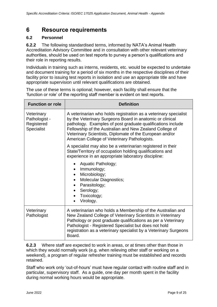# <span id="page-8-0"></span>**6 Resource requirements**

#### **6.2 Personnel**

**6.2.2** The following standardised terms, informed by NATA's Animal Health Accreditation Advisory Committee and in consultation with other relevant veterinary authorities, should be used on test reports to purvey a person's qualifications and their role in reporting results.

Individuals in training such as interns, residents, etc. would be expected to undertake and document training for a period of six months in the respective disciplines of their facility prior to issuing test reports in isolation and use an appropriate title and have appropriate supervision until relevant qualifications are obtained.

The use of these terms is optional; however, each facility shall ensure that the 'function or role' of the reporting staff member is evident on test reports.

| <b>Function or role</b>                                 | <b>Definition</b>                                                                                                                                                                                                                                                                                                                                                 |
|---------------------------------------------------------|-------------------------------------------------------------------------------------------------------------------------------------------------------------------------------------------------------------------------------------------------------------------------------------------------------------------------------------------------------------------|
| Veterinary<br>Pathologist -<br>Registered<br>Specialist | A veterinarian who holds registration as a veterinary specialist<br>by the Veterinary Surgeons Board in anatomic or clinical<br>pathology. Examples of post graduate qualifications include<br>Fellowship of the Australian and New Zealand College of<br>Veterinary Scientists, Diplomate of the European and/or<br>American College of Veterinary Pathologists. |
|                                                         | A specialist may also be a veterinarian registered in their<br>State/Territory of occupation holding qualifications and<br>experience in an appropriate laboratory discipline:                                                                                                                                                                                    |
|                                                         | Aquatic Pathology;<br>Immunology;<br>$\bullet$<br>Microbiology;<br><b>Molecular Diagnostics;</b><br>Parasitology;<br>Serology;<br>$\bullet$<br>Toxicology;<br>Virology.<br>$\bullet$                                                                                                                                                                              |
| Veterinary<br>Pathologist                               | A veterinarian who holds a Membership of the Australian and<br>New Zealand College of Veterinary Scientists in Veterinary<br>Pathology or post graduate qualifications as per a Veterinary<br>Pathologist - Registered Specialist but does not hold<br>registration as a veterinary specialist by a Veterinary Surgeons<br>Board.                                 |

**6.2.3** Where staff are expected to work in areas, or at times other than those in which they would normally work (e.g. when relieving other staff or working on a weekend), a program of regular refresher training must be established and records retained.

Staff who work only 'out-of-hours' must have regular contact with routine staff and in particular, supervisory staff. As a guide, one day per month spent in the facility during normal working hours would be appropriate.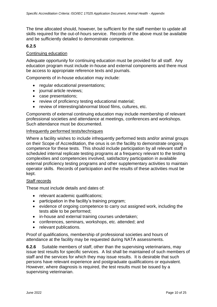The time allocated should, however, be sufficient for the staff member to update all skills required for the out-of-hours service. Records of the above must be available and be sufficiently detailed to demonstrate competence.

#### **6.2.5**

#### Continuing education

Adequate opportunity for continuing education must be provided for all staff. Any education program must include in-house and external components and there must be access to appropriate reference texts and journals.

Components of in-house education may include:

- regular educational presentations;
- journal article reviews;
- case presentations;
- review of proficiency testing educational material;
- review of interesting/abnormal blood films, cultures, etc.

Components of external continuing education may include membership of relevant professional societies and attendance at meetings, conferences and workshops. Such attendance must be documented.

#### Infrequently performed tests/techniques

Where a facility wishes to include infrequently performed tests and/or animal groups on their Scope of Accreditation, the onus is on the facility to demonstrate ongoing competence for these tests. This should include participation by all relevant staff in scheduled internal replicate testing programs at a frequency relevant to the testing complexities and competencies involved, satisfactory participation in available external proficiency testing programs and other supplementary activities to maintain operator skills. Records of participation and the results of these activities must be kept.

#### Staff records

These must include details and dates of:

- relevant academic qualifications;
- participation in the facility's training program;
- evidence of ongoing competence to carry out assigned work, including the tests able to be performed;
- in-house and external training courses undertaken;
- conferences, seminars, workshops, etc. attended; and
- relevant publications.

Proof of qualifications, membership of professional societies and hours of attendance at the facility may be requested during NATA assessments.

**6.2.6** Suitable members of staff, other than the supervising veterinarians, may issue test results for specific services. A list shall be maintained of such members of staff and the services for which they may issue results. It is desirable that such persons have relevant experience and postgraduate qualifications or equivalent. However, where diagnosis is required, the test results must be issued by a supervising veterinarian.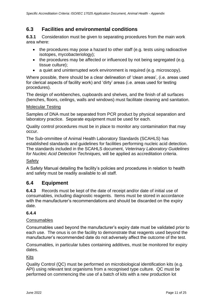# <span id="page-10-0"></span>**6.3 Facilities and environmental conditions**

**6.3.1** Consideration must be given to separating procedures from the main work area where:

- the procedures may pose a hazard to other staff (e.g. tests using radioactive isotopes, mycobacteriology);
- the procedures may be affected or influenced by not being segregated (e.g. tissue culture);
- a quiet and uninterrupted work environment is required (e.g. microscopy).

Where possible, there should be a clear delineation of 'clean areas', (i.e. areas used for clerical aspects of facility work) and 'dirty' areas (i.e. areas used for testing procedures).

The design of workbenches, cupboards and shelves, and the finish of all surfaces (benches, floors, ceilings, walls and windows) must facilitate cleaning and sanitation.

#### Molecular Testing

Samples of DNA must be separated from PCR product by physical separation and laboratory practice. Separate equipment must be used for each.

Quality control procedures must be in place to monitor any contamination that may occur.

The Sub-ommittee of Animal Health Laboratory Standards (SCAHLS) has established standards and guidelines for facilities performing nucleic acid detection. The standards included in the SCAHLS document, *Veterinary Laboratory Guidelines for Nucleic Acid Detection Techniques,* will be applied as accreditation criteria.

#### Safety

A Safety Manual detailing the facility's policies and procedures in relation to health and safety must be readily available to all staff.

#### <span id="page-10-1"></span>**6.4 Equipment**

**6.4.3** Records must be kept of the date of receipt and/or date of initial use of consumables, including diagnostic reagents. Items must be stored in accordance with the manufacturer's recommendations and should be discarded on the expiry date.

#### **6.4.4**

#### Consumables

Consumables used beyond the manufacturer's expiry date must be validated prior to each use. The onus is on the facility to demonstrate that reagents used beyond the manufacturer's recommended date do not adversely affect the outcome of the test.

Consumables, in particular tubes containing additives, must be monitored for expiry dates.

#### Kits

Quality Control (QC) must be performed on microbiological identification kits (e.g. API) using relevant test organisms from a recognised type culture. QC must be performed on commencing the use of a batch of kits with a new production lot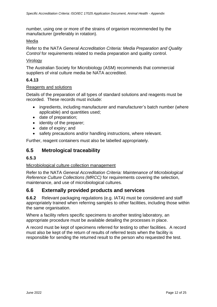number, using one or more of the strains of organism recommended by the manufacturer (preferably in rotation).

#### Media

Refer to the NATA *General Accreditation Criteria: Media Preparation and Quality Control* for requirements related to media preparation and quality control.

#### **Virology**

The Australian Society for Microbiology (ASM) recommends that commercial suppliers of viral culture media be NATA accredited.

#### **6.4.13**

#### Reagents and solutions

Details of the preparation of all types of standard solutions and reagents must be recorded. These records must include:

- ingredients, including manufacturer and manufacturer's batch number (where applicable) and quantities used;
- date of preparation;
- identity of the preparer:
- date of expiry; and
- safety precautions and/or handling instructions, where relevant.

Further, reagent containers must also be labelled appropriately.

## <span id="page-11-0"></span>**6.5 Metrological traceability**

#### **6.5.3**

#### Microbiological culture collection management

Refer to the NATA *General Accreditation Criteria: Maintenance of Microbiological Reference Culture Collections (MRCC)* for requirements covering the selection, maintenance, and use of microbiological cultures*.*

#### **6.6 Externally provided products and services**

**6.6.2** Relevant packaging regulations (e.g. IATA) must be considered and staff appropriately trained when referring samples to other facilities, including those within the same organisation.

Where a facility refers specific specimens to another testing laboratory, an appropriate procedure must be available detailing the processes in place.

A record must be kept of specimens referred for testing to other facilities. A record must also be kept of the return of results of referred tests when the facility is responsible for sending the returned result to the person who requested the test.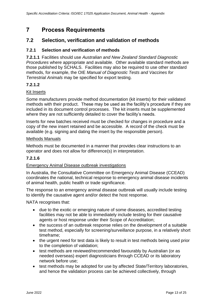# <span id="page-12-0"></span>**7 Process Requirements**

# <span id="page-12-1"></span>**7.2 Selection, verification and validation of methods**

#### <span id="page-12-2"></span>**7.2.1 Selection and verification of methods**

**7.2.1.1** Facilities should use *Australian and New Zealand Standard Diagnostic Procedures* where appropriate and available. Other available standard methods are those published by SCHALS. Facilities may also be required to use other standard methods, for example, the OIE *Manual of Diagnostic Tests and Vaccines for Terrestrial Animals* may be specified for export testing.

#### **7.2.1.2**

#### Kit Inserts

Some manufacturers provide method documentation (kit inserts) for their validated methods with their product. These may be used as the facility's procedure if they are included in its document control processes. The kit inserts must be supplemented where they are not sufficiently detailed to cover the facility's needs.

Inserts for new batches received must be checked for changes in procedure and a copy of the new insert retained and be accessible. A record of the check must be available (e.g. signing and dating the insert by the responsible person).

#### Methods Manuals

Methods must be documented in a manner that provides clear instructions to an operator and does not allow for difference(s) in interpretation.

#### **7.2.1.6**

#### Emergency Animal Disease outbreak investigations

In Australia, the Consultative Committee on Emergency Animal Disease (CCEAD) coordinates the national, technical response to emergency animal disease incidents of animal health, public health or trade significance.

The response to an emergency animal disease outbreak will usually include testing to identify the causative agent and/or detect the host response.

NATA recognises that:

- due to the exotic or emerging nature of some diseases, accredited testing facilities may not be able to immediately include testing for their causative agents or host response under their Scope of Accreditation;
- the success of an outbreak response relies on the development of a suitable test method, especially for screening/surveillance purpose, in a relatively short timeframe;
- the urgent need for test data is likely to result in test methods being used prior to the completion of validation;
- test methods are reviewed/recommended favourably by Australian (or as needed overseas) expert diagnosticians through CCEAD or its laboratory network before use;
- test methods may be adopted for use by affected State/Territory laboratories, and hence the validation process can be achieved collectively, through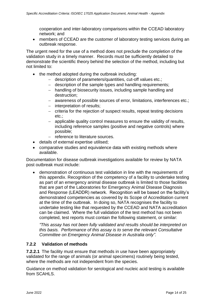cooperation and inter-laboratory comparisons within the CCEAD laboratory network; and

• members of CCEAD are the customer of laboratory testing services during an outbreak response.

The urgent need for the use of a method does not preclude the completion of the validation study in a timely manner. Records must be sufficiently detailed to demonstrate the scientific theory behind the selection of the method, including but not limited to:

- the method adopted during the outbreak including:
	- − description of parameters/quantities, cut-off values etc.;
	- − description of the sample types and handling requirements;
	- − handling of biosecurity issues, including sample handling and destruction;
	- − awareness of possible sources of error, limitations, interferences etc.;
	- − interpretation of results;
	- − criteria for the rejection of suspect results, repeat testing decisions etc.;
	- − applicable quality control measures to ensure the validity of results, including reference samples (positive and negative controls) where possible;
	- − reference to literature sources.
- details of external expertise utilised;
- comparative studies and equivalence data with existing methods where available.

Documentation for disease outbreak investigations available for review by NATA post outbreak must include:

• demonstration of continuous test validation in line with the requirements of this appendix. Recognition of the competency of a facility to undertake testing as part of an emergency animal disease outbreak is limited to those facilities that are part of the Laboratories for Emergency Animal Disease Diagnosis and Response (LEADDR) network. Recognition will be based on the facility's demonstrated competencies as covered by its Scope of Accreditation current at the time of the outbreak. In doing so, NATA recognises the facility to undertake testing like that requested by the CCEAD and NATA accreditation can be claimed. Where the full validation of the test method has not been completed, test reports must contain the following statement, or similar:

*"This assay has not been fully validated and results should be interpreted on this basis. Performance of this assay is to serve the relevant Consultative Committee on Emergency Animal Disease in Australia only".*

#### <span id="page-13-0"></span>**7.2.2 Validation of methods**

**7.2.2.1** The facility must ensure that methods in use have been appropriately validated for the range of animals (or animal specimens) routinely being tested, where the methods are not independent from the species.

Guidance on method validation for serological and nucleic acid testing is available from SCAHLS.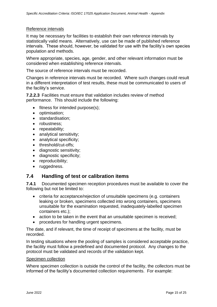#### Reference intervals

It may be necessary for facilities to establish their own reference intervals by statistically valid means. Alternatively, use can be made of published reference intervals. These should, however, be validated for use with the facility's own species population and methods.

Where appropriate, species, age, gender, and other relevant information must be considered when establishing reference intervals.

The source of reference intervals must be recorded.

Changes in reference intervals must be recorded. Where such changes could result in a different interpretation of test results, these must be communicated to users of the facility's service.

**7.2.2.3** Facilities must ensure that validation includes review of method performance. This should include the following:

- fitness for intended purpose(s);
- optimisation;
- standardisation:
- robustness:
- repeatability;
- analytical sensitivity;
- analytical specificity:
- threshold/cut-offs;
- diagnostic sensitivity;
- diagnostic specificity;
- reproducibility;
- ruggedness.

#### <span id="page-14-0"></span>**7.4 Handling of test or calibration items**

**7.4.1** Documented specimen reception procedures must be available to cover the following but not be limited to:

- criteria for acceptance/rejection of unsuitable specimens (e.g. containers leaking or broken, specimens collected into wrong containers, specimens unsuitable for the examination requested, inadequately-labelled specimen containers etc.);
- action to be taken in the event that an unsuitable specimen is received;
- procedures for handling urgent specimens.

The date, and if relevant, the time of receipt of specimens at the facility, must be recorded.

In testing situations where the pooling of samples is considered acceptable practice, the facility must follow a predefined and documented protocol. Any changes to the protocol must be validated and records of the validation kept.

#### Specimen collection

Where specimen collection is outside the control of the facility, the collectors must be informed of the facility's documented collection requirements. For example: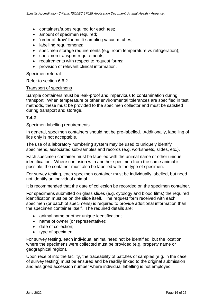- containers/tubes required for each test;
- amount of specimen required;
- 'order of draw' for multi-sampling vacuum tubes;
- labelling requirements;
- specimen storage requirements (e.g. room temperature vs refrigeration);
- specimen transport requirements;
- requirements with respect to request forms;
- provision of relevant clinical information.

#### Specimen referral

Refer to section 6.6.2.

#### Transport of specimens

Sample containers must be leak-proof and impervious to contamination during transport. When temperature or other environmental tolerances are specified in test methods, these must be provided to the specimen collector and must be satisfied during transport and storage.

#### **7.4.2**

#### Specimen labelling requirements

In general, specimen containers should not be pre-labelled. Additionally, labelling of lids only is not acceptable.

The use of a laboratory numbering system may be used to uniquely identify specimens, associated sub-samples and records (e.g. worksheets, slides, etc.).

Each specimen container must be labelled with the animal name or other unique identification. Where confusion with another specimen from the same animal is possible, the container must also be labelled with the type of specimen.

For survey testing, each specimen container must be individually labelled, but need not identify an individual animal.

It is recommended that the date of collection be recorded on the specimen container.

For specimens submitted on glass slides (e.g. cytology and blood films) the required identification must be on the slide itself. The request form received with each specimen (or batch of specimens) is required to provide additional information than the specimen container itself. The required details are:

- animal name or other unique identification:
- name of owner (or representative);
- date of collection;
- type of specimen.

For survey testing, each individual animal need not be identified, but the location where the specimens were collected must be provided (e.g. property name or geographical region).

Upon receipt into the facility, the traceability of batches of samples (e.g. in the case of survey testing) must be ensured and be readily linked to the original submission and assigned accession number where individual labelling is not employed.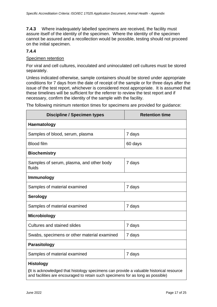**7.4.3** Where inadequately labelled specimens are received, the facility must assure itself of the identity of the specimen. Where the identity of the specimen cannot be assured and a recollection would be possible, testing should not proceed on the initial specimen.

#### **7.4.4**

#### Specimen retention

For viral and cell cultures, inoculated and uninoculated cell cultures must be stored separately.

Unless indicated otherwise, sample containers should be stored under appropriate conditions for 7 days from the date of receipt of the sample or for three days after the issue of the test report, whichever is considered most appropriate. It is assumed that these timelines will be sufficient for the referrer to review the test report and if necessary, confirm the identity of the sample with the facility.

| <b>Discipline / Specimen types</b>                                                     | <b>Retention time</b> |  |
|----------------------------------------------------------------------------------------|-----------------------|--|
| Haematology                                                                            |                       |  |
| Samples of blood, serum, plasma                                                        | 7 days                |  |
| <b>Blood film</b>                                                                      | 60 days               |  |
| <b>Biochemistry</b>                                                                    |                       |  |
| Samples of serum, plasma, and other body<br>fluids                                     | 7 days                |  |
| <b>Immunology</b>                                                                      |                       |  |
| Samples of material examined                                                           | 7 days                |  |
| <b>Serology</b>                                                                        |                       |  |
| Samples of material examined                                                           | 7 days                |  |
| <b>Microbiology</b>                                                                    |                       |  |
| <b>Cultures and stained slides</b>                                                     | 7 days                |  |
| Swabs, specimens or other material examined                                            | 7 days                |  |
| <b>Parasitology</b>                                                                    |                       |  |
| Samples of material examined                                                           | 7 days                |  |
| <b>Histology</b>                                                                       |                       |  |
| It is acknowledged that histology specimens can provide a valuable historical resource |                       |  |

The following minimum retention times for specimens are provided for guidance:

**(**It is acknowledged that histology specimens can provide a valuable historical resource and facilities are encouraged to retain such specimens for as long as possible)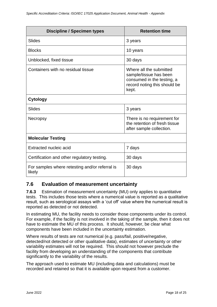| <b>Discipline / Specimen types</b>                       | <b>Retention time</b>                                                                                                    |
|----------------------------------------------------------|--------------------------------------------------------------------------------------------------------------------------|
| <b>Slides</b>                                            | 3 years                                                                                                                  |
| <b>Blocks</b>                                            | 10 years                                                                                                                 |
| Unblocked, fixed tissue                                  | 30 days                                                                                                                  |
| Containers with no residual tissue                       | Where all the submitted<br>sample/tissue has been<br>consumed in the testing, a<br>record noting this should be<br>kept. |
| <b>Cytology</b>                                          |                                                                                                                          |
| <b>Slides</b>                                            | 3 years                                                                                                                  |
| Necropsy                                                 | There is no requirement for<br>the retention of fresh tissue<br>after sample collection.                                 |
| <b>Molecular Testing</b>                                 |                                                                                                                          |
| Extracted nucleic acid                                   | 7 days                                                                                                                   |
| Certification and other regulatory testing.              | 30 days                                                                                                                  |
| For samples where retesting and/or referral is<br>likely | 30 days                                                                                                                  |

### <span id="page-17-0"></span>**7.6 Evaluation of measurement uncertainty**

**7.6.3** Estimation of measurement uncertainty (MU) only applies to quantitative tests. This includes those tests where a numerical value is reported as a qualitative result, such as serological assays with a 'cut off' value where the numerical result is reported as detected or not detected.

In estimating MU, the facility needs to consider those components under its control. For example, if the facility is not involved in the taking of the sample, then it does not have to estimate the MU of this process. It should, however, be clear what components have been included in the uncertainty estimation.

Where results of tests are not numerical (e.g. pass/fail, positive/negative, detected/not detected or other qualitative data), estimates of uncertainty or other variability estimates will not be required. This should not however preclude the facility from developing an understanding of the components that contribute significantly to the variability of the results.

The approach used to estimate MU (including data and calculations) must be recorded and retained so that it is available upon request from a customer.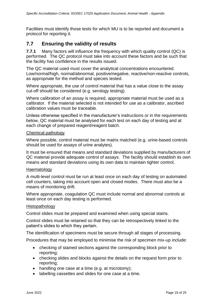Facilities must identify those tests for which MU is to be reported and document a protocol for reporting it.

## <span id="page-18-0"></span>**7.7 Ensuring the validity of results**

**7.7.1** Many factors will influence the frequency with which quality control (QC) is performed. The QC protocol must take into account these factors and be such that the facility has confidence in the results issued.

The QC material used must cover the analytical concentrations encountered. Low/normal/high, normal/abnormal, positive/negative, reactive/non-reactive controls, as appropriate for the method and species tested.

Where appropriate, the use of control material that has a value close to the assay cut-off should be considered (e.g. serology testing).

Where calibration of an assay is required, appropriate material must be used as a calibrator. If the material selected is not intended for use as a calibrator, ascribed calibration values must be traceable.

Unless otherwise specified in the manufacturer's instructions or in the requirements below, QC material must be analysed for each test on each day of testing and at each change of prepared reagent/reagent batch.

#### Chemical pathology

Where possible, control material must be matrix matched (e.g. urine-based controls should be used for assays of urine analytes).

It must be ensured that means and standard deviations supplied by manufacturers of QC material provide adequate control of assays. The facility should establish its own means and standard deviations using its own data to maintain tighter control.

#### Haematology

A multi-level control must be run at least once on each day of testing on automated cell counters, taking into account open and closed modes. There must also be a means of monitoring drift.

Where appropriate, coagulation QC must include normal and abnormal controls at least once on each day testing is performed.

#### Histopathology

Control slides must be prepared and examined when using special stains.

Control slides must be retained so that they can be retrospectively linked to the patient's slides to which they pertain.

The identification of specimens must be secure through all stages of processing.

Procedures that may be employed to minimise the risk of specimen mix-up include:

- checking of stained sections against the corresponding block prior to reporting;
- checking slides and blocks against the details on the request form prior to reporting;
- handling one case at a time (e.g. at microtomy);
- labelling cassettes and slides for one case at a time.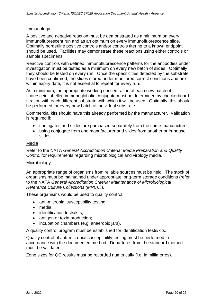#### Immunology

A positive and negative reaction must be demonstrated as a minimum on every immunofluorescent run and as an optimum on every immunofluorescence slide. Optimally borderline positive controls and/or controls titering to a known endpoint should be used. Facilities may demonstrate these reactions using either controls or sample specimens.

Reactive controls with defined immunofluorescence patterns for the antibodies under investigation must be tested as a minimum on every new batch of slides. Optimally they should be tested on every run. Once the specificities detected by the substrate have been confirmed, the slides stored under monitored correct conditions and are within expiry date, it is not essential to repeat for every run.

As a minimum, the appropriate working concentration of each new batch of fluorescein labelled immunoglobulin conjugate must be determined by checkerboard titration with each different substrate with which it will be used. Optimally, this should be performed for every new batch of individual substrate.

Commercial kits should have this already performed by the manufacturer. Validation is required if:

- conjugates and slides are purchased separately from the same manufacturer;
- using conjugate from one manufacturer and slides from another or in-house slides.

#### Media

Refer to the NATA *General Accreditation Criteria: Media Preparation and Quality Control* for requirements regarding microbiological and virology media.

#### Microbiology

An appropriate range of organisms from reliable sources must be held. The stock of organisms must be maintained under appropriate long-term storage conditions (refer to the NATA *General Accreditation Criteria: Maintenance of Microbiological Reference Culture Collections (MRCC)*).

These organisms would be used to quality control:

- anti-microbial susceptibility testing;
- media;
- identification tests/kits;
- antigen or toxin production;
- incubation chambers (e.g. anaerobic jars).

A quality control program must be established for identification tests/kits.

Quality control of anti-microbial susceptibility testing must be performed in accordance with the documented method. Departures from the standard method must be validated.

Zone sizes for QC results must be recorded numerically (i.e. in millimetres).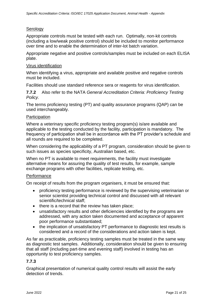#### **Serology**

Appropriate controls must be tested with each run. Optimally, non-kit controls (including a low/weak positive control) should be included to monitor performance over time and to enable the determination of inter-lot batch variation.

Appropriate negative and positive controls/samples must be included on each ELISA plate.

#### Virus identification

When identifying a virus, appropriate and available positive and negative controls must be included.

Facilities should use standard reference sera or reagents for virus identification.

**7.7.2** Also refer to the NATA *General Accreditation Criteria: Proficiency Testing Policy.*

The terms proficiency testing (PT) and quality assurance programs (QAP) can be used interchangeably.

#### **Participation**

Where a veterinary specific proficiency testing program(s) is/are available and applicable to the testing conducted by the facility, participation is mandatory. The frequency of participation shall be in accordance with the PT provider's schedule and all rounds are required to be completed.

When considering the applicability of a PT program, consideration should be given to such issues as species specificity, Australian based, etc.

When no PT is available to meet requirements, the facility must investigate alternative means for assuring the quality of test results, for example, sample exchange programs with other facilities, replicate testing, etc.

#### **Performance**

On receipt of results from the program organisers, it must be ensured that:

- proficiency testing performance is reviewed by the supervising veterinarian or senior scientist providing technical control and discussed with all relevant scientific/technical staff;
- there is a record that the review has taken place;
- unsatisfactory results and other deficiencies identified by the programs are addressed, with any action taken documented and acceptance of apparent poor performance substantiated;
- the implication of unsatisfactory PT performance to diagnostic test results is considered and a record of the considerations and action taken is kept.

As far as practicable, proficiency testing samples must be treated in the same way as diagnostic test samples. Additionally, consideration should be given to ensuring that all staff (including part-time and evening staff) involved in testing has an opportunity to test proficiency samples.

#### **7.7.3**

Graphical presentation of numerical quality control results will assist the early detection of trends.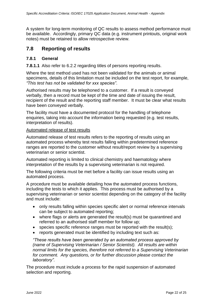A system for long-term monitoring of QC results to assess method performance must be available. Accordingly, primary QC data (e.g. instrument printouts, original work notes) must be retained to allow retrospective review.

### <span id="page-21-0"></span>**7.8 Reporting of results**

#### <span id="page-21-1"></span>**7.8.1 General**

**7.8.1.1** Also refer to 6.2.2 regarding titles of persons reporting results.

Where the test method used has not been validated for the animals or animal specimens, details of this limitation must be included on the test report, for example, *"This test has not be validated for xxx species"*.

Authorised results may be telephoned to a customer. If a result is conveyed verbally, then a record must be kept of the time and date of issuing the result, recipient of the result and the reporting staff member. It must be clear what results have been conveyed verbally.

The facility must have a documented protocol for the handling of telephone enquiries, taking into account the information being requested (e.g. test results, interpretation of results).

#### Automated release of test results

Automated release of test results refers to the reporting of results using an automated process whereby test results falling within predetermined reference ranges are reported to the customer without result/report review by a supervising veterinarian or senior scientist.

Automated reporting is limited to clinical chemistry and haematology where interpretation of the results by a supervising veterinarian is not required.

The following criteria must be met before a facility can issue results using an automated process.

A procedure must be available detailing how the automated process functions, including the tests to which it applies. This process must be authorised by a supervising veterinarian or senior scientist depending on the category of the facility and must include:

- only results falling within species specific alert or normal reference intervals can be subject to automated reporting;
- where flags or alerts are generated the result(s) must be quarantined and referred to an authorised staff member for follow up;
- species specific reference ranges must be reported with the result(s);
- reports generated must be identified by including text such as:

*"These results have been generated by an automated process approved by (name of Supervising Veterinarian / Senior Scientist). All results are within normal limits for the species, therefore not referred to a Supervising Veterinarian for comment. Any questions, or for further discussion please contact the laboratory".*

The procedure must include a process for the rapid suspension of automated selection and reporting.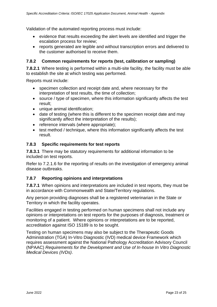Validation of the automated reporting process must include:

- evidence that results exceeding the alert levels are identified and trigger the escalation process for review;
- reports generated are legible and without transcription errors and delivered to the customer authorised to receive them.

#### <span id="page-22-0"></span>**7.8.2 Common requirements for reports (test, calibration or sampling)**

**7.8.2.1** Where testing is performed within a multi-site facility, the facility must be able to establish the site at which testing was performed.

Reports must include:

- specimen collection and receipt date and, where necessary for the interpretation of test results, the time of collection;
- source / type of specimen, where this information significantly affects the test result;
- unique animal identification;
- date of testing (where this is different to the specimen receipt date and may significantly affect the interpretation of the results);
- reference intervals (where appropriate);
- test method / technique, where this information significantly affects the test result.

#### <span id="page-22-1"></span>**7.8.3 Specific requirements for test reports**

**7.8.3.1** There may be statutory requirements for additional information to be included on test reports.

Refer to 7.2.1.6 for the reporting of results on the investigation of emergency animal disease outbreaks.

#### <span id="page-22-2"></span>**7.8.7 Reporting opinions and interpretations**

**7.8.7.1** When opinions and interpretations are included in test reports, they must be in accordance with Commonwealth and State/Territory regulations.

Any person providing diagnoses shall be a registered veterinarian in the State or Territory in which the facility operates.

Facilities engaged in testing performed on human specimens shall not include any opinions or interpretations on test reports for the purposes of diagnosis, treatment or monitoring of a patient. Where opinions or interpretations are to be reported, accreditation against ISO 15189 is to be sought.

Testing on human specimens may also be subject to the Therapeutic Goods Administration (TGA) In-Vitro Diagnostic (IVD) medical device Framework which requires assessment against the National Pathology Accreditation Advisory Council (NPAAC) *Requirements for the Development and Use of In-house In Vitro Diagnostic Medical Devices (IVDs)*.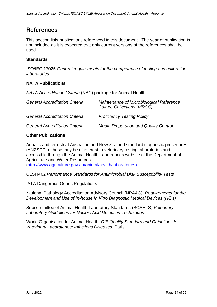# <span id="page-23-0"></span>**References**

This section lists publications referenced in this document. The year of publication is not included as it is expected that only current versions of the references shall be used.

#### **Standards**

ISO/IEC 17025 *General requirements for the competence of testing and calibration laboratories*

#### **NATA Publications**

*NATA Accreditation Criteria* (NAC) package for Animal Health

| <b>General Accreditation Criteria</b> | Maintenance of Microbiological Reference<br><b>Culture Collections (MRCC)</b> |
|---------------------------------------|-------------------------------------------------------------------------------|
| <b>General Accreditation Criteria</b> | <b>Proficiency Testing Policy</b>                                             |
| <b>General Accreditation Criteria</b> | <b>Media Preparation and Quality Control</b>                                  |

#### **Other Publications**

Aquatic and terrestrial Australian and New Zealand standard diagnostic procedures (ANZSDPs): these may be of interest to veterinary testing laboratories and accessible through the [Animal](http://animal/) Health Laboratories website of the Department of Agriculture and Water Resources

[\(http://www.agriculture.gov.au/animal/health/laboratories\)](http://www.agriculture.gov.au/animal/health/laboratories)

CLSI M02 *Performance Standards for Antimicrobial Disk Susceptibility Tests*

IATA Dangerous Goods Regulations

National Pathology Accreditation Advisory Council (NPAAC), *Requirements for the Development and Use of In-house In Vitro Diagnostic Medical Devices (IVDs)*

Subcommittee of Animal Health Laboratory Standards (SCAHLS*) Veterinary Laboratory Guidelines for Nucleic Acid Detection Techniques*.

World Organisation for Animal Health, *OIE Quality Standard and Guidelines for Veterinary Laboratories: Infectious Diseases*, Paris